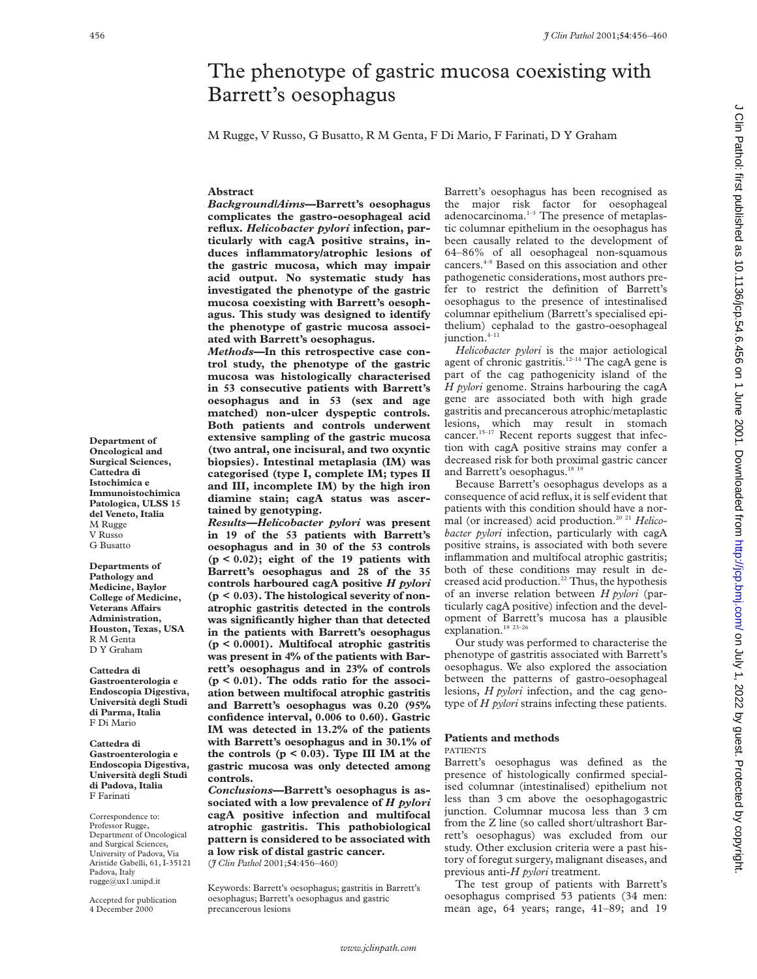# The phenotype of gastric mucosa coexisting with Barrett's oesophagus

M Rugge, V Russo, G Busatto, R M Genta, F Di Mario, F Farinati, D Y Graham

### **Abstract**

*Background/Aims***—Barrett's oesophagus complicates the gastro-oesophageal acid reflux.** *Helicobacter pylori* **infection, particularly with cagA positive strains, induces inflammatory/atrophic lesions of the gastric mucosa, which may impair acid output. No systematic study has investigated the phenotype of the gastric mucosa coexisting with Barrett's oesophagus. This study was designed to identify the phenotype of gastric mucosa associated with Barrett's oesophagus.**

*Methods***—In this retrospective case control study, the phenotype of the gastric mucosa was histologically characterised in 53 consecutive patients with Barrett's oesophagus and in 53 (sex and age matched) non-ulcer dyspeptic controls. Both patients and controls underwent extensive sampling of the gastric mucosa (two antral, one incisural, and two oxyntic biopsies). Intestinal metaplasia (IM) was categorised (type I, complete IM; types II and III, incomplete IM) by the high iron diamine stain; cagA status was ascertained by genotyping.**

*Results—Helicobacter pylori* **was present in 19 of the 53 patients with Barrett's oesophagus and in 30 of the 53 controls (p < 0.02); eight of the 19 patients with Barrett's oesophagus and 28 of the 35 controls harboured cagA positive** *H pylori* **(p < 0.03). The histological severity of nonatrophic gastritis detected in the controls was significantly higher than that detected in the patients with Barrett's oesophagus (p < 0.0001). Multifocal atrophic gastritis was present in 4% of the patients with Barrett's oesophagus and in 23% of controls (p < 0.01). The odds ratio for the association between multifocal atrophic gastritis and Barrett's oesophagus was 0.20 (95% confidence interval, 0.006 to 0.60). Gastric IM was detected in 13.2% of the patients with Barrett's oesophagus and in 30.1% of the controls (p < 0.03). Type III IM at the gastric mucosa was only detected among controls.**

*Conclusions***—Barrett's oesophagus is associated with a low prevalence of** *H pylori* **cagA positive infection and multifocal atrophic gastritis. This pathobiological pattern is considered to be associated with a low risk of distal gastric cancer.** (*J Clin Pathol* 2001;**54**:456–460)

Keywords: Barrett's oesophagus; gastritis in Barrett's oesophagus; Barrett's oesophagus and gastric precancerous lesions

Barrett's oesophagus has been recognised as the major risk factor for oesophageal adenocarcinoma.<sup>1-3</sup> The presence of metaplastic columnar epithelium in the oesophagus has been causally related to the development of 64–86% of all oesophageal non-squamous cancers.4–8 Based on this association and other pathogenetic considerations, most authors prefer to restrict the definition of Barrett's oesophagus to the presence of intestinalised columnar epithelium (Barrett's specialised epithelium) cephalad to the gastro-oesophageal junction.<sup>4-11</sup>

*Helicobacter pylori* is the major aetiological agent of chronic gastritis.<sup>12–14</sup> The cagA gene is part of the cag pathogenicity island of the *H pylori* genome. Strains harbouring the cagA gene are associated both with high grade gastritis and precancerous atrophic/metaplastic lesions, which may result in stomach cancer.<sup>15-17</sup> Recent reports suggest that infection with cagA positive strains may confer a decreased risk for both proximal gastric cancer and Barrett's oesophagus.<sup>18 19</sup>

Because Barrett's oesophagus develops as a consequence of acid reflux, it is self evident that patients with this condition should have a normal (or increased) acid production.20 21 *Helicobacter pylori* infection, particularly with cagA positive strains, is associated with both severe inflammation and multifocal atrophic gastritis; both of these conditions may result in decreased acid production.<sup>22</sup> Thus, the hypothesis of an inverse relation between *H pylori* (particularly cagA positive) infection and the development of Barrett's mucosa has a plausible explanation.<sup>19</sup> <sup>23-26</sup>

Our study was performed to characterise the phenotype of gastritis associated with Barrett's oesophagus. We also explored the association between the patterns of gastro-oesophageal lesions, *H pylori* infection, and the cag genotype of *H pylori* strains infecting these patients.

# **Patients and methods**

#### PATIENTS

Barrett's oesophagus was defined as the presence of histologically confirmed specialised columnar (intestinalised) epithelium not less than 3 cm above the oesophagogastric junction. Columnar mucosa less than 3 cm from the Z line (so called short/ultrashort Barrett's oesophagus) was excluded from our study. Other exclusion criteria were a past history of foregut surgery, malignant diseases, and previous anti-*H pylori* treatment.

The test group of patients with Barrett's oesophagus comprised 53 patients (34 men: mean age, 64 years; range, 41–89; and 19

**Department of Oncological and Surgical Sciences, Cattedra di Istochimica e Immunoistochimica Patologica, ULSS 15 del Veneto, Italia** M Rugge V Russo G Busatto

**Departments of Pathology and Medicine, Baylor College of Medicine, Veterans AVairs Administration, Houston, Texas, USA** R M Genta D Y Graham

**Cattedra di Gastroenterologia e Endoscopia Digestiva, Università degli Studi di Parma, Italia** F Di Mario

**Cattedra di Gastroenterologia e Endoscopia Digestiva, Università degli Studi di Padova, Italia** F Farinati

Correspondence to: Professor Rugge, Department of Oncological and Surgical Sciences, University of Padova, Via Aristide Gabelli, 61, I-35121 Padova, Italy rugge@ux1.unipd.it

Accepted for publication 4 December 2000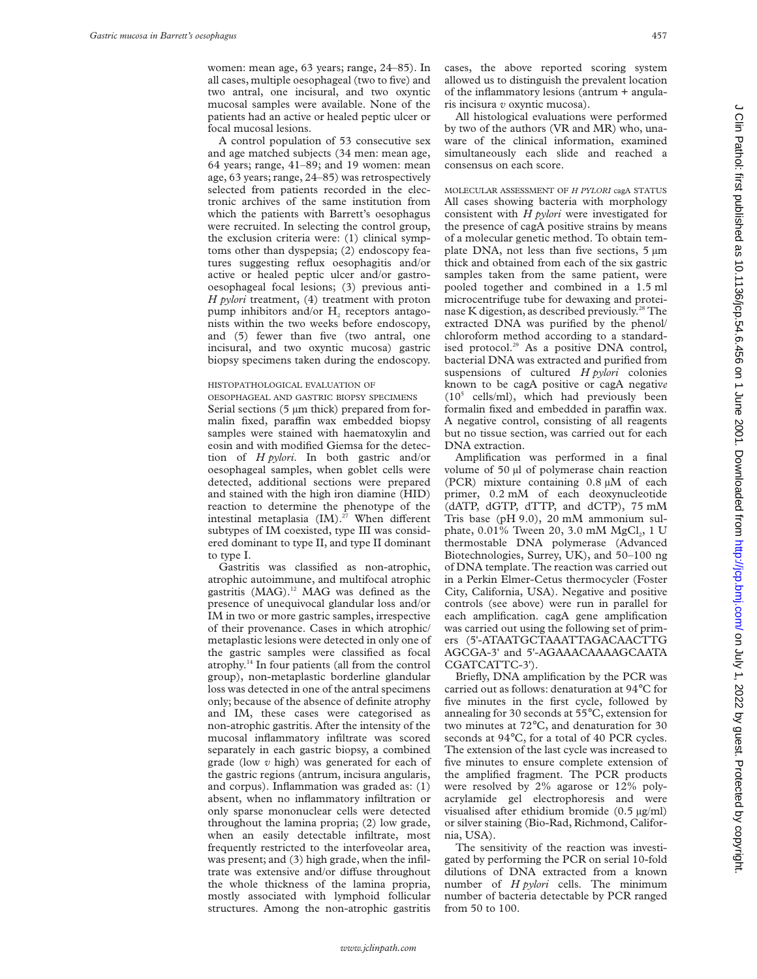women: mean age, 63 years; range, 24–85). In all cases, multiple oesophageal (two to five) and two antral, one incisural, and two oxyntic mucosal samples were available. None of the patients had an active or healed peptic ulcer or focal mucosal lesions.

A control population of 53 consecutive sex and age matched subjects (34 men: mean age, 64 years; range, 41–89; and 19 women: mean age, 63 years; range, 24–85) was retrospectively selected from patients recorded in the electronic archives of the same institution from which the patients with Barrett's oesophagus were recruited. In selecting the control group, the exclusion criteria were: (1) clinical symptoms other than dyspepsia; (2) endoscopy features suggesting reflux oesophagitis and/or active or healed peptic ulcer and/or gastrooesophageal focal lesions; (3) previous anti-*H pylori* treatment, (4) treatment with proton pump inhibitors and/or  $H_2$  receptors antagonists within the two weeks before endoscopy, and (5) fewer than five (two antral, one incisural, and two oxyntic mucosa) gastric biopsy specimens taken during the endoscopy.

## HISTOPATHOLOGICAL EVALUATION OF

OESOPHAGEAL AND GASTRIC BIOPSY SPECIMENS Serial sections (5  $\mu$ m thick) prepared from formalin fixed, paraffin wax embedded biopsy samples were stained with haematoxylin and eosin and with modified Giemsa for the detection of *H pylori*. In both gastric and/or oesophageal samples, when goblet cells were detected, additional sections were prepared and stained with the high iron diamine (HID) reaction to determine the phenotype of the intestinal metaplasia  $(IM).^{27}$  When different subtypes of IM coexisted, type III was considered dominant to type II, and type II dominant to type I.

Gastritis was classified as non-atrophic, atrophic autoimmune, and multifocal atrophic gastritis (MAG).<sup>12</sup> MAG was defined as the presence of unequivocal glandular loss and/or IM in two or more gastric samples, irrespective of their provenance. Cases in which atrophic/ metaplastic lesions were detected in only one of the gastric samples were classified as focal atrophy.14 In four patients (all from the control group), non-metaplastic borderline glandular loss was detected in one of the antral specimens only; because of the absence of definite atrophy and IM, these cases were categorised as non-atrophic gastritis. After the intensity of the mucosal inflammatory infiltrate was scored separately in each gastric biopsy, a combined grade (low *v* high) was generated for each of the gastric regions (antrum, incisura angularis, and corpus). Inflammation was graded as: (1) absent, when no inflammatory infiltration or only sparse mononuclear cells were detected throughout the lamina propria; (2) low grade, when an easily detectable infiltrate, most frequently restricted to the interfoveolar area, was present; and (3) high grade, when the infiltrate was extensive and/or diffuse throughout the whole thickness of the lamina propria, mostly associated with lymphoid follicular structures. Among the non-atrophic gastritis

cases, the above reported scoring system allowed us to distinguish the prevalent location of the inflammatory lesions (antrum + angularis incisura *v* oxyntic mucosa).

All histological evaluations were performed by two of the authors (VR and MR) who, unaware of the clinical information, examined simultaneously each slide and reached a consensus on each score.

MOLECULAR ASSESSMENT OF *H PYLORI* cagA STATUS All cases showing bacteria with morphology consistent with *H pylori* were investigated for the presence of cagA positive strains by means of a molecular genetic method. To obtain template DNA, not less than five sections, 5  $\mu$ m thick and obtained from each of the six gastric samples taken from the same patient, were pooled together and combined in a 1.5 ml microcentrifuge tube for dewaxing and proteinase K digestion, as described previously.<sup>28</sup> The extracted DNA was purified by the phenol/ chloroform method according to a standardised protocol.<sup>29</sup> As a positive DNA control, bacterial DNA was extracted and purified from suspensions of cultured *H pylori* colonies known to be cagA positive or cagA negativ*e*  $(10^5 \text{ cells/ml})$ , which had previously been formalin fixed and embedded in paraffin wax. A negative control, consisting of all reagents but no tissue section, was carried out for each DNA extraction.

Amplification was performed in a final volume of 50 µl of polymerase chain reaction (PCR) mixture containing 0.8 µM of each primer, 0.2 mM of each deoxynucleotide (dATP, dGTP, dTTP, and dCTP), 75 mM Tris base (pH 9.0), 20 mM ammonium sulphate,  $0.01\%$  Tween 20, 3.0 mM MgCl<sub>2</sub>, 1 U thermostable DNA polymerase (Advanced Biotechnologies, Surrey, UK), and 50–100 ng of DNA template. The reaction was carried out in a Perkin Elmer-Cetus thermocycler (Foster City, California, USA). Negative and positive controls (see above) were run in parallel for each amplification. cagA gene amplification was carried out using the following set of primers (5'-ATAATGCTAAATTAGACAACTTG AGCGA-3' and 5'-AGAAACAAAAGCAATA CGATCATTC-3').

Briefly, DNA amplification by the PCR was carried out as follows: denaturation at 94°C for five minutes in the first cycle, followed by annealing for 30 seconds at 55°C, extension for two minutes at 72°C, and denaturation for 30 seconds at 94°C, for a total of 40 PCR cycles. The extension of the last cycle was increased to five minutes to ensure complete extension of the amplified fragment. The PCR products were resolved by 2% agarose or 12% polyacrylamide gel electrophoresis and were visualised after ethidium bromide (0.5 µg/ml) or silver staining (Bio-Rad, Richmond, California, USA).

The sensitivity of the reaction was investigated by performing the PCR on serial 10-fold dilutions of DNA extracted from a known number of *H pylori* cells. The minimum number of bacteria detectable by PCR ranged from 50 to 100.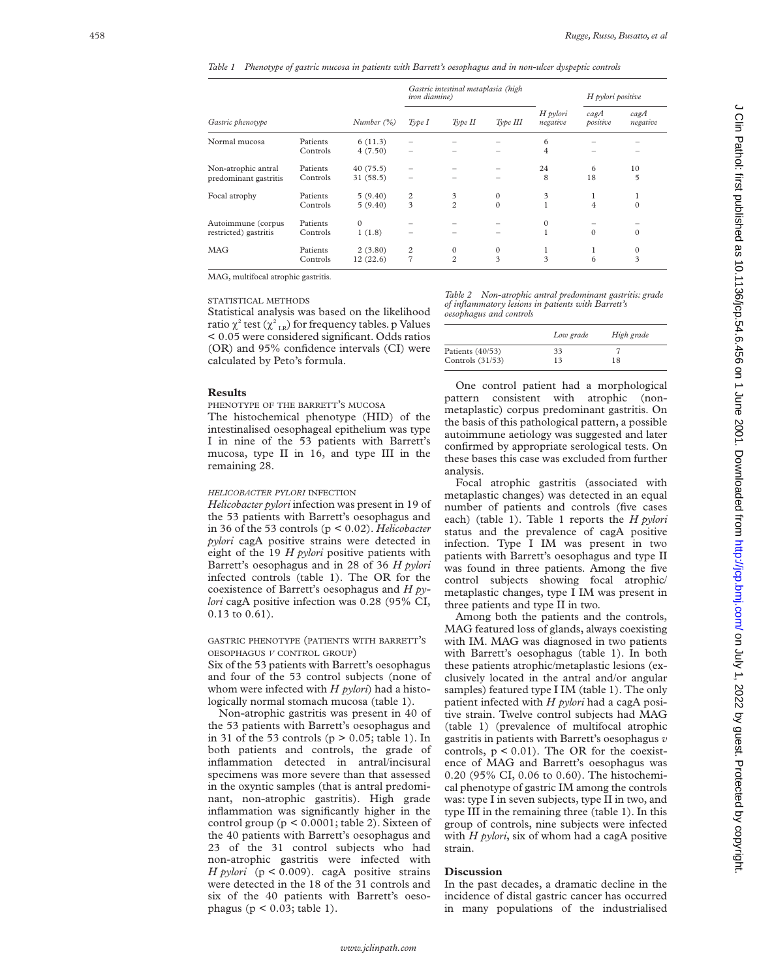*Table 1 Phenotype of gastric mucosa in patients with Barrett's oesophagus and in non-ulcer dyspeptic controls*

|                                              |                      |                      | <i>iron diamine</i> ) | Gastric intestinal metaplasia (high |                          |                      | H pylori positive      |                                         |
|----------------------------------------------|----------------------|----------------------|-----------------------|-------------------------------------|--------------------------|----------------------|------------------------|-----------------------------------------|
| Gastric phenotype                            |                      | Number $(\%)$        | Type I                | Type II                             | Type III                 | H pylori<br>negative | $c$ ag $A$<br>positive | $c$ ag $A$<br>negative                  |
| Normal mucosa                                | Patients<br>Controls | 6(11.3)<br>4(7.50)   | -                     |                                     |                          | 6<br>$\overline{4}$  |                        |                                         |
| Non-atrophic antral<br>predominant gastritis | Patients<br>Controls | 40(75.5)<br>31(58.5) |                       |                                     |                          | 24<br>8              | 6<br>18                | 10<br>5                                 |
| Focal atrophy                                | Patients<br>Controls | 5(9.40)<br>5(9.40)   | $\overline{c}$<br>3   | 3<br>$\overline{c}$                 | $\mathbf{0}$<br>$\Omega$ | 3<br>1               | 4                      | $\mathbf{0}$                            |
| Autoimmune (corpus<br>restricted) gastritis  | Patients<br>Controls | $\Omega$<br>1(1.8)   |                       |                                     |                          | $\mathbf{0}$         | $\Omega$               | $\Omega$                                |
| MAG                                          | Patients<br>Controls | 2(3.80)<br>12(22.6)  | 2<br>$\overline{7}$   | $\mathbf{0}$<br>$\overline{c}$      | $\mathbf{0}$<br>3        | 1<br>3               | 1<br>6                 | $\mathbf{0}$<br>$\overline{\mathbf{3}}$ |

MAG, multifocal atrophic gastritis.

#### STATISTICAL METHODS

Statistical analysis was based on the likelihood ratio  $\chi^2$  test ( $\chi^2_{\phantom{2} \rm LR})$  for frequency tables. p Values < 0.05 were considered significant. Odds ratios (OR) and 95% confidence intervals (CI) were calculated by Peto's formula.

### **Results**

PHENOTYPE OF THE BARRETT 'S MUCOSA

The histochemical phenotype (HID) of the intestinalised oesophageal epithelium was type I in nine of the 53 patients with Barrett's mucosa, type II in 16, and type III in the remaining 28.

#### *HELICOBACTER PYLORI* INFECTION

*Helicobacter pylori* infection was present in 19 of the 53 patients with Barrett's oesophagus and in 36 of the 53 controls (p < 0.02). *Helicobacter pylori* cagA positive strains were detected in eight of the 19 *H pylori* positive patients with Barrett's oesophagus and in 28 of 36 *H pylori* infected controls (table 1). The OR for the coexistence of Barrett's oesophagus and *H pylori* cagA positive infection was 0.28 (95% CI, 0.13 to 0.61).

GASTRIC PHENOTYPE (PATIENTS WITH BARRETT ' S OESOPHAGUS *V* CONTROL GROUP )

Six of the 53 patients with Barrett's oesophagus and four of the 53 control subjects (none of whom were infected with *H pylori*) had a histologically normal stomach mucosa (table 1).

Non-atrophic gastritis was present in 40 of the 53 patients with Barrett's oesophagus and in 31 of the 53 controls ( $p > 0.05$ ; table 1). In both patients and controls, the grade of inflammation detected in antral/incisural specimens was more severe than that assessed in the oxyntic samples (that is antral predominant, non-atrophic gastritis). High grade inflammation was significantly higher in the control group (p < 0.0001; table 2). Sixteen of the 40 patients with Barrett's oesophagus and 23 of the 31 control subjects who had non-atrophic gastritis were infected with *H pylori* (p < 0.009). cagA positive strains were detected in the 18 of the 31 controls and six of the 40 patients with Barrett's oesophagus ( $p < 0.03$ ; table 1).

*Table 2 Non-atrophic antral predominant gastritis: grade of inflammatory lesions in patients with Barrett's oesophagus and controls*

|                    | Low grade | High grade |
|--------------------|-----------|------------|
| Patients (40/53)   | 33        |            |
| Controls $(31/53)$ | 13        | 18         |

One control patient had a morphological pattern consistent with atrophic (nonmetaplastic) corpus predominant gastritis. On the basis of this pathological pattern, a possible autoimmune aetiology was suggested and later confirmed by appropriate serological tests. On these bases this case was excluded from further analysis.

Focal atrophic gastritis (associated with metaplastic changes) was detected in an equal number of patients and controls (five cases each) (table 1). Table 1 reports the *H pylori* status and the prevalence of cagA positive infection. Type I IM was present in two patients with Barrett's oesophagus and type II was found in three patients. Among the five control subjects showing focal atrophic/ metaplastic changes, type I IM was present in three patients and type II in two.

Among both the patients and the controls, MAG featured loss of glands, always coexisting with IM. MAG was diagnosed in two patients with Barrett's oesophagus (table 1). In both these patients atrophic/metaplastic lesions (exclusively located in the antral and/or angular samples) featured type I IM (table 1). The only patient infected with *H pylori* had a cagA positive strain. Twelve control subjects had MAG (table 1) (prevalence of multifocal atrophic gastritis in patients with Barrett's oesophagus *v* controls, p < 0.01). The OR for the coexistence of MAG and Barrett's oesophagus was 0.20 (95% CI, 0.06 to 0.60). The histochemical phenotype of gastric IM among the controls was: type I in seven subjects, type II in two, and type III in the remaining three (table 1). In this group of controls, nine subjects were infected with *H pylori*, six of whom had a cagA positive strain.

#### **Discussion**

In the past decades, a dramatic decline in the incidence of distal gastric cancer has occurred in many populations of the industrialised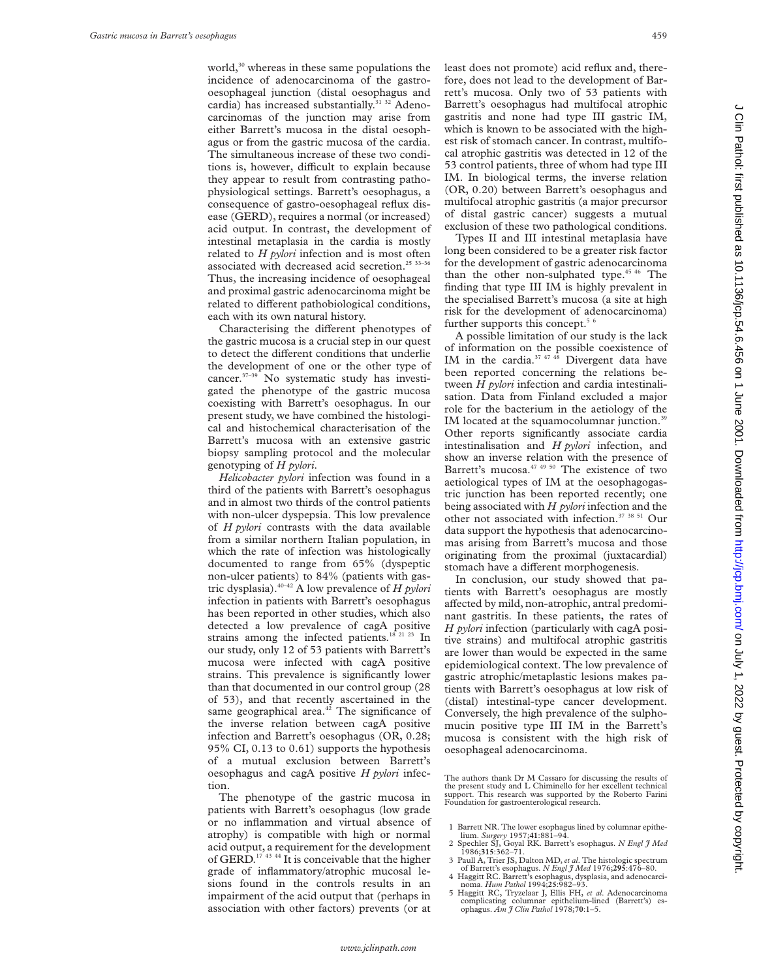world,<sup>30</sup> whereas in these same populations the incidence of adenocarcinoma of the gastrooesophageal junction (distal oesophagus and cardia) has increased substantially.<sup>31 32</sup> Adenocarcinomas of the junction may arise from either Barrett's mucosa in the distal oesophagus or from the gastric mucosa of the cardia. The simultaneous increase of these two conditions is, however, difficult to explain because they appear to result from contrasting pathophysiological settings. Barrett's oesophagus, a consequence of gastro-oesophageal reflux disease (GERD), requires a normal (or increased) acid output. In contrast, the development of intestinal metaplasia in the cardia is mostly related to *H pylori* infection and is most often associated with decreased acid secretion.<sup>25 33-36</sup> Thus, the increasing incidence of oesophageal and proximal gastric adenocarcinoma might be related to different pathobiological conditions, each with its own natural history.

Characterising the different phenotypes of the gastric mucosa is a crucial step in our quest to detect the different conditions that underlie the development of one or the other type of cancer.37–39 No systematic study has investigated the phenotype of the gastric mucosa coexisting with Barrett's oesophagus. In our present study, we have combined the histological and histochemical characterisation of the Barrett's mucosa with an extensive gastric biopsy sampling protocol and the molecular genotyping of *H pylori*.

*Helicobacter pylori* infection was found in a third of the patients with Barrett's oesophagus and in almost two thirds of the control patients with non-ulcer dyspepsia. This low prevalence of *H pylori* contrasts with the data available from a similar northern Italian population, in which the rate of infection was histologically documented to range from 65% (dyspeptic non-ulcer patients) to 84% (patients with gastric dysplasia).40–42 A low prevalence of *H pylori* infection in patients with Barrett's oesophagus has been reported in other studies, which also detected a low prevalence of cagA positive strains among the infected patients.<sup>18 21</sup> <sup>23</sup> In our study, only 12 of 53 patients with Barrett's mucosa were infected with cagA positive strains. This prevalence is significantly lower than that documented in our control group (28 of 53), and that recently ascertained in the same geographical area.<sup>42</sup> The significance of the inverse relation between cagA positive infection and Barrett's oesophagus (OR, 0.28; 95% CI, 0.13 to 0.61) supports the hypothesis of a mutual exclusion between Barrett's oesophagus and cagA positive *H pylori* infection.

The phenotype of the gastric mucosa in patients with Barrett's oesophagus (low grade or no inflammation and virtual absence of atrophy) is compatible with high or normal acid output, a requirement for the development of GERD.<sup>17</sup> <sup>43</sup> <sup>44</sup> It is conceivable that the higher grade of inflammatory/atrophic mucosal lesions found in the controls results in an impairment of the acid output that (perhaps in association with other factors) prevents (or at

least does not promote) acid reflux and, therefore, does not lead to the development of Barrett's mucosa. Only two of 53 patients with Barrett's oesophagus had multifocal atrophic gastritis and none had type III gastric IM, which is known to be associated with the highest risk of stomach cancer. In contrast, multifocal atrophic gastritis was detected in 12 of the 53 control patients, three of whom had type III IM. In biological terms, the inverse relation (OR, 0.20) between Barrett's oesophagus and multifocal atrophic gastritis (a major precursor of distal gastric cancer) suggests a mutual exclusion of these two pathological conditions.

Types II and III intestinal metaplasia have long been considered to be a greater risk factor for the development of gastric adenocarcinoma than the other non-sulphated type.<sup>45 46</sup> The finding that type III IM is highly prevalent in the specialised Barrett's mucosa (a site at high risk for the development of adenocarcinoma) further supports this concept.<sup>5  $\text{6}$ </sup>

A possible limitation of our study is the lack of information on the possible coexistence of IM in the cardia. $37 \frac{47}{48}$  Divergent data have been reported concerning the relations between *H pylori* infection and cardia intestinalisation. Data from Finland excluded a major role for the bacterium in the aetiology of the IM located at the squamocolumnar junction.<sup>39</sup> Other reports significantly associate cardia intestinalisation and *H pylori* infection, and show an inverse relation with the presence of Barrett's mucosa.<sup>47 49 50</sup> The existence of two aetiological types of IM at the oesophagogastric junction has been reported recently; one being associated with *H pylori* infection and the other not associated with infection.37 38 51 Our data support the hypothesis that adenocarcinomas arising from Barrett's mucosa and those originating from the proximal (juxtacardial) stomach have a different morphogenesis.

In conclusion, our study showed that patients with Barrett's oesophagus are mostly affected by mild, non-atrophic, antral predominant gastritis. In these patients, the rates of *H pylori* infection (particularly with cagA positive strains) and multifocal atrophic gastritis are lower than would be expected in the same epidemiological context. The low prevalence of gastric atrophic/metaplastic lesions makes patients with Barrett's oesophagus at low risk of (distal) intestinal-type cancer development. Conversely, the high prevalence of the sulphomucin positive type III IM in the Barrett's mucosa is consistent with the high risk of oesophageal adenocarcinoma.

The authors thank Dr M Cassaro for discussing the results of the present study and L Chiminello for her excellent technical support. This research was supported by the Roberto Farini Foundation for gastroenterological research.

- 1 Barrett NR. The lower esophagus lined by columnar epithe-lium. *Surgery* 1957;**41**:881–94.
- 2 Spechler SJ, Goyal RK. Barrett's esophagus. *N Engl J Med* 1986;**315**:362–71.
- 3 Paull A, Trier JS, Dalton MD, *et al*. The histologic spectrum of Barrett's esophagus. *N Engl J Med* 1976;**295**:476–80.
- 4 Haggitt RC. Barrett's esophagus, dysplasia, and adenocarci- noma. *Hum Pathol* 1994;**25**:982–93.
- 5 Haggitt RC, Tryzelaar J, Ellis FH, *et al*. Adenocarcinoma complicating columnar epithelium-lined (Barrett's) es-ophagus. *Am J Clin Pathol* 1978;**70**:1–5.